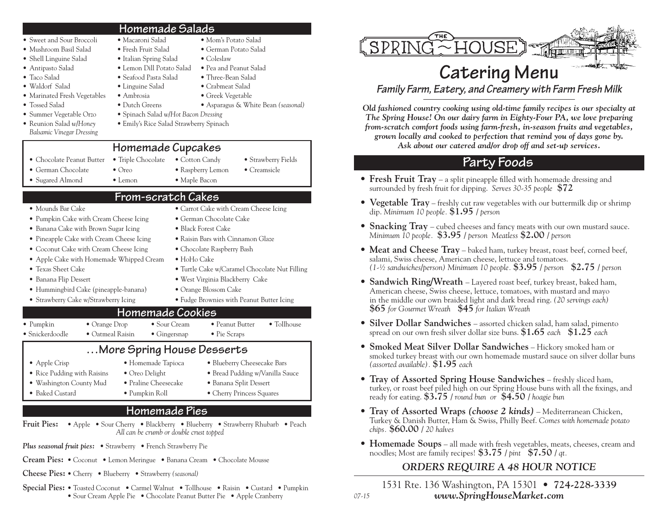#### • Sweet and Sour Broccoli • Macaroni Salad • Mom's Potato Salad **Homemade Salads**

- Mushroom Basil Salad Fresh Fruit Salad German Potato Salad
- Shell Linguine Salad Italian Spring Salad Coleslaw
- Antipasto Salad Lemon Dill Potato Salad Pea and Peanut Salad
- Taco Salad Seafood Pasta Salad Three-Bean Salad
- Waldorf Salad Linguine Salad Crabmeat Salad
- Marinated Fresh Vegetables Ambrosia Greek Vegetable
- Tossed Salad Dutch Greens Asparagus & White Bean *(seasonal)*
- Summer Vegetable Orzo Spinach Salad *w/Hot Bacon Dressing* • Reunion Salad *w/Honey* • Emily's Rice Salad Strawberry Spinach
- *Balsamic Vinegar Dressing*
- Chocolate Peanut Butter Triple Chocolate Cotton Candy Strawberry Fields
- 
- Sugared Almond Lemon Maple Bacon
- German Chocolate Oreo Raspberry Lemon Creamsicle

**Homemade Cupcakes**

# **From-scratch Cakes**

- Mounds Bar Cake Carrot Cake with Cream Cheese Icing
- Pumpkin Cake with Cream Cheese Icing German Chocolate Cake
- Banana Cake with Brown Sugar Icing Black Forest Cake
- Pineapple Cake with Cream Cheese Icing Raisin Bars with Cinnamon Glaze
- Coconut Cake with Cream Cheese Icing Chocolate Raspberry Bash
- Apple Cake with Homemade Whipped Cream HoHo Cake
- 
- 
- Hummingbird Cake (pineapple-banana) Orange Blossom Cake
- 
- Texas Sheet Cake Turtle Cake w/Caramel Chocolate Nut Filling • Banana Flip Dessert • West Virginia Blackberry Cake
- Strawberry Cake w/Strawberry Icing Fudge Brownies with Peanut Butter Icing

#### **Homemade Cookies**

| $\bullet$ Pumpkin       | $\bullet$ Orange Drop | $\bullet$ Sour Cream | • Peanut Butter      | $\bullet$ Tollhouse |
|-------------------------|-----------------------|----------------------|----------------------|---------------------|
| $\bullet$ Snickerdoodle | • Oatmeal Raisin      | $\bullet$ Gingersnap | $\bullet$ Pie Scraps |                     |

### **…More Spring House Desserts**

- Apple Crisp Homemade Tapioca Blueberry Cheesecake Bars
- Rice Pudding with Raisins Oreo Delight Bread Pudding w/Vanilla Sauce
- 
- 
- Washington County Mud Praline Cheesecake Banana Split Dessert • Baked Custard • Pumpkin Roll • Cherry Princess Squares

#### **Homemade Pies**

- **Fruit Pies:** Apple Sour Cherry Blackberry Blueberry Strawberry Rhubarb Peach *All can be crumb or double crust topped*
- *Plus seasonal fruit pies:* Strawberry French Strawberry Pie
- **Cream Pies:** Coconut Lemon Meringue Banana Cream Chocolate Mousse
- **Cheese Pies:** Cherry Blueberry Strawberry *(seasonal)*
- **Special Pies:** Toasted Coconut Carmel Walnut Tollhouse Raisin Custard Pumpkin • Sour Cream Apple Pie • Chocolate Peanut Butter Pie • Apple Cranberry



# Catering Menu

*Family Farm, Eatery, and Creamery with Farm Fresh Milk* 

*Old fashioned country cooking using old-time family recipes is our specialty at The Spring House! On our dairy farm in Eighty-Four PA, we love preparing from-scratch comfort foods using farm-fresh, in-season fruits and vegetables, grown locally and cooked to perfection that remind you of days gone by.* 

*Ask about our catered and/or drop off and set-up services.*

# **Party Foods**

- **Fresh Fruit Tray** a split pineapple filled with homemade dressing and surrounded by fresh fruit for dipping. *Serves 30-35 people* **\$72**
- **Vegetable Tray** freshly cut raw vegetables with our buttermilk dip or shrimp dip. *Minimum 10 people.* **\$1.95** */ person*
- **Snacking Tray** cubed cheeses and fancy meats with our own mustard sauce. *Minimum 10 people.* **\$3.95** */ person Meatless* **\$2.00** */ person*
- **Meat and Cheese Tray** baked ham, turkey breast, roast beef, corned beef, salami, Swiss cheese, American cheese, lettuce and tomatoes. *(1-½ sandwiches/person) Minimum 10 people.* **\$3.95** */ person* **\$2.75** */ person*
- **Sandwich Ring/Wreath** Layered roast beef, turkey breast, baked ham, American cheese, Swiss cheese, lettuce, tomatoes, with mustard and mayo in the middle our own braided light and dark bread ring. *(20 servings each)* **\$65** *for Gourmet Wreath* **\$45** *for Italian Wreath*
- **Silver Dollar Sandwiches** assorted chicken salad, ham salad, pimento spread on our own fresh silver dollar size buns. **\$1.65** *each* **\$1.25** *each*
- **Smoked Meat Silver Dollar Sandwiches** Hickory smoked ham or smoked turkey breast with our own homemade mustard sauce on silver dollar buns *(assorted available).* **\$1.95** *each*
- **Tray of Assorted Spring House Sandwiches** freshly sliced ham, turkey, or roast beef piled high on our Spring House buns with all the fixings, and ready for eating. **\$3.75** */ round bun or* **\$4.50** */ hoagie bun*
- **Tray of Assorted Wraps** *(choose 2 kinds)* Mediterranean Chicken, Turkey & Danish Butter, Ham & Swiss, Philly Beef. *Comes with homemade potato chips.* **\$60.00** */ 20 halves*
- **Homemade Soups** all made with fresh vegetables, meats, cheeses, cream and noodles; Most are family recipes! **\$3.75** */ pint* **\$7.50** */ qt.*

### *ORDERS REQUIRE A 48 HOUR NOTICE*